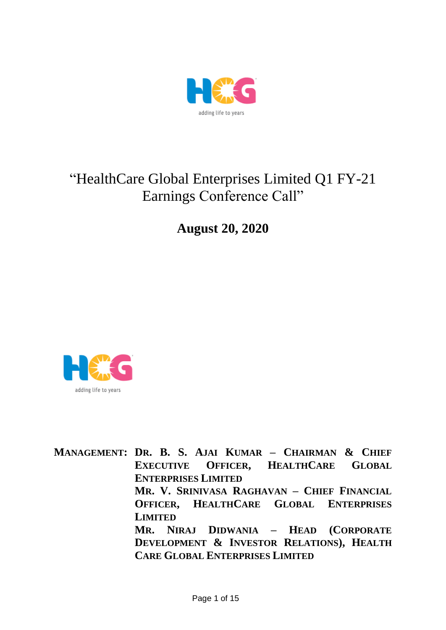

# "HealthCare Global Enterprises Limited Q1 FY-21 Earnings Conference Call"

**August 20, 2020**



**MANAGEMENT: DR. B. S. AJAI KUMAR – CHAIRMAN & CHIEF EXECUTIVE OFFICER, HEALTHCARE GLOBAL ENTERPRISES LIMITED MR. V. SRINIVASA RAGHAVAN – CHIEF FINANCIAL OFFICER, HEALTHCARE GLOBAL ENTERPRISES LIMITED MR. NIRAJ DIDWANIA – HEAD (CORPORATE DEVELOPMENT & INVESTOR RELATIONS), HEALTH CARE GLOBAL ENTERPRISES LIMITED**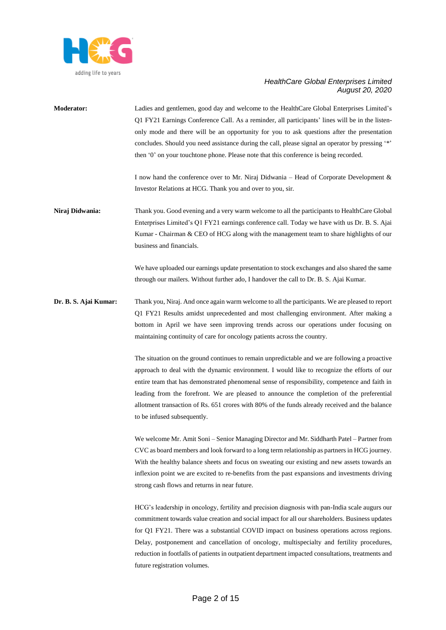

**Moderator:** Ladies and gentlemen, good day and welcome to the HealthCare Global Enterprises Limited's Q1 FY21 Earnings Conference Call. As a reminder, all participants' lines will be in the listenonly mode and there will be an opportunity for you to ask questions after the presentation concludes. Should you need assistance during the call, please signal an operator by pressing '\*' then '0' on your touchtone phone. Please note that this conference is being recorded.

> I now hand the conference over to Mr. Niraj Didwania – Head of Corporate Development & Investor Relations at HCG. Thank you and over to you, sir.

**Niraj Didwania:** Thank you. Good evening and a very warm welcome to all the participants to HealthCare Global Enterprises Limited's Q1 FY21 earnings conference call. Today we have with us Dr. B. S. Ajai Kumar - Chairman & CEO of HCG along with the management team to share highlights of our business and financials.

> We have uploaded our earnings update presentation to stock exchanges and also shared the same through our mailers. Without further ado, I handover the call to Dr. B. S. Ajai Kumar.

**Dr. B. S. Ajai Kumar:** Thank you, Niraj. And once again warm welcome to all the participants. We are pleased to report Q1 FY21 Results amidst unprecedented and most challenging environment. After making a bottom in April we have seen improving trends across our operations under focusing on maintaining continuity of care for oncology patients across the country.

> The situation on the ground continues to remain unpredictable and we are following a proactive approach to deal with the dynamic environment. I would like to recognize the efforts of our entire team that has demonstrated phenomenal sense of responsibility, competence and faith in leading from the forefront. We are pleased to announce the completion of the preferential allotment transaction of Rs. 651 crores with 80% of the funds already received and the balance to be infused subsequently.

> We welcome Mr. Amit Soni – Senior Managing Director and Mr. Siddharth Patel – Partner from CVC as board members and look forward to a long term relationship as partners in HCG journey. With the healthy balance sheets and focus on sweating our existing and new assets towards an inflexion point we are excited to re-benefits from the past expansions and investments driving strong cash flows and returns in near future.

> HCG's leadership in oncology, fertility and precision diagnosis with pan-India scale augurs our commitment towards value creation and social impact for all our shareholders. Business updates for Q1 FY21. There was a substantial COVID impact on business operations across regions. Delay, postponement and cancellation of oncology, multispecialty and fertility procedures, reduction in footfalls of patients in outpatient department impacted consultations, treatments and future registration volumes.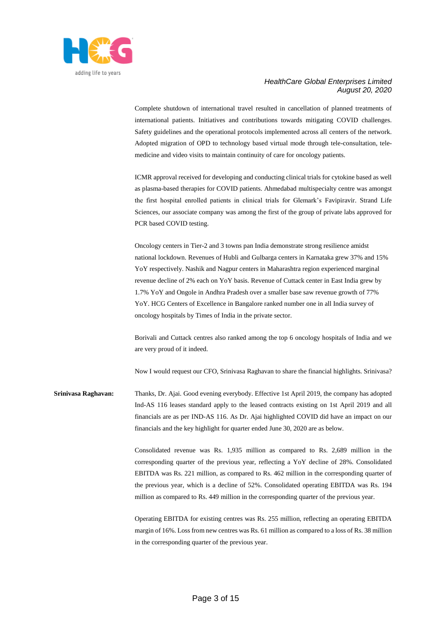

Complete shutdown of international travel resulted in cancellation of planned treatments of international patients. Initiatives and contributions towards mitigating COVID challenges. Safety guidelines and the operational protocols implemented across all centers of the network. Adopted migration of OPD to technology based virtual mode through tele-consultation, telemedicine and video visits to maintain continuity of care for oncology patients.

ICMR approval received for developing and conducting clinical trials for cytokine based as well as plasma-based therapies for COVID patients. Ahmedabad multispecialty centre was amongst the first hospital enrolled patients in clinical trials for Glemark's Favipiravir. Strand Life Sciences, our associate company was among the first of the group of private labs approved for PCR based COVID testing.

Oncology centers in Tier-2 and 3 towns pan India demonstrate strong resilience amidst national lockdown. Revenues of Hubli and Gulbarga centers in Karnataka grew 37% and 15% YoY respectively. Nashik and Nagpur centers in Maharashtra region experienced marginal revenue decline of 2% each on YoY basis. Revenue of Cuttack center in East India grew by 1.7% YoY and Ongole in Andhra Pradesh over a smaller base saw revenue growth of 77% YoY. HCG Centers of Excellence in Bangalore ranked number one in all India survey of oncology hospitals by Times of India in the private sector.

Borivali and Cuttack centres also ranked among the top 6 oncology hospitals of India and we are very proud of it indeed.

Now I would request our CFO, Srinivasa Raghavan to share the financial highlights. Srinivasa?

**Srinivasa Raghavan:** Thanks, Dr. Ajai. Good evening everybody. Effective 1st April 2019, the company has adopted Ind-AS 116 leases standard apply to the leased contracts existing on 1st April 2019 and all financials are as per IND-AS 116. As Dr. Ajai highlighted COVID did have an impact on our financials and the key highlight for quarter ended June 30, 2020 are as below.

> Consolidated revenue was Rs. 1,935 million as compared to Rs. 2,689 million in the corresponding quarter of the previous year, reflecting a YoY decline of 28%. Consolidated EBITDA was Rs. 221 million, as compared to Rs. 462 million in the corresponding quarter of the previous year, which is a decline of 52%. Consolidated operating EBITDA was Rs. 194 million as compared to Rs. 449 million in the corresponding quarter of the previous year.

> Operating EBITDA for existing centres was Rs. 255 million, reflecting an operating EBITDA margin of 16%. Loss from new centres was Rs. 61 million as compared to a loss of Rs. 38 million in the corresponding quarter of the previous year.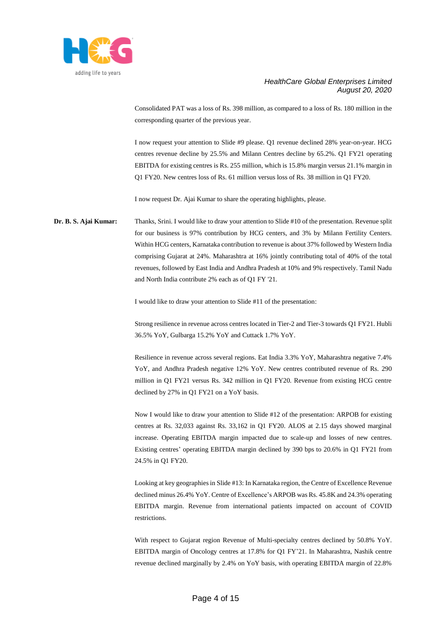

Consolidated PAT was a loss of Rs. 398 million, as compared to a loss of Rs. 180 million in the corresponding quarter of the previous year.

I now request your attention to Slide #9 please. Q1 revenue declined 28% year-on-year. HCG centres revenue decline by 25.5% and Milann Centres decline by 65.2%. Q1 FY21 operating EBITDA for existing centres is Rs. 255 million, which is 15.8% margin versus 21.1% margin in Q1 FY20. New centres loss of Rs. 61 million versus loss of Rs. 38 million in Q1 FY20.

I now request Dr. Ajai Kumar to share the operating highlights, please.

**Dr. B. S. Ajai Kumar:** Thanks, Srini. I would like to draw your attention to Slide #10 of the presentation. Revenue split for our business is 97% contribution by HCG centers, and 3% by Milann Fertility Centers. Within HCG centers, Karnataka contribution to revenue is about 37% followed by Western India comprising Gujarat at 24%. Maharashtra at 16% jointly contributing total of 40% of the total revenues, followed by East India and Andhra Pradesh at 10% and 9% respectively. Tamil Nadu and North India contribute 2% each as of Q1 FY '21.

I would like to draw your attention to Slide #11 of the presentation:

Strong resilience in revenue across centres located in Tier-2 and Tier-3 towards Q1 FY21. Hubli 36.5% YoY, Gulbarga 15.2% YoY and Cuttack 1.7% YoY.

Resilience in revenue across several regions. Eat India 3.3% YoY, Maharashtra negative 7.4% YoY, and Andhra Pradesh negative 12% YoY. New centres contributed revenue of Rs. 290 million in Q1 FY21 versus Rs. 342 million in Q1 FY20. Revenue from existing HCG centre declined by 27% in Q1 FY21 on a YoY basis.

Now I would like to draw your attention to Slide #12 of the presentation: ARPOB for existing centres at Rs. 32,033 against Rs. 33,162 in Q1 FY20. ALOS at 2.15 days showed marginal increase. Operating EBITDA margin impacted due to scale-up and losses of new centres. Existing centres' operating EBITDA margin declined by 390 bps to 20.6% in Q1 FY21 from 24.5% in Q1 FY20.

Looking at key geographies in Slide #13: In Karnataka region, the Centre of Excellence Revenue declined minus 26.4% YoY. Centre of Excellence's ARPOB was Rs. 45.8K and 24.3% operating EBITDA margin. Revenue from international patients impacted on account of COVID restrictions.

With respect to Gujarat region Revenue of Multi-specialty centres declined by 50.8% YoY. EBITDA margin of Oncology centres at 17.8% for Q1 FY'21. In Maharashtra, Nashik centre revenue declined marginally by 2.4% on YoY basis, with operating EBITDA margin of 22.8%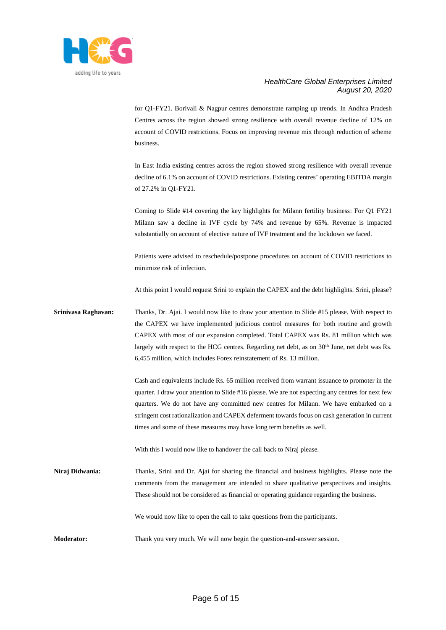

for Q1-FY21. Borivali & Nagpur centres demonstrate ramping up trends. In Andhra Pradesh Centres across the region showed strong resilience with overall revenue decline of 12% on account of COVID restrictions. Focus on improving revenue mix through reduction of scheme business.

In East India existing centres across the region showed strong resilience with overall revenue decline of 6.1% on account of COVID restrictions. Existing centres' operating EBITDA margin of 27.2% in Q1-FY21.

Coming to Slide #14 covering the key highlights for Milann fertility business: For Q1 FY21 Milann saw a decline in IVF cycle by 74% and revenue by 65%. Revenue is impacted substantially on account of elective nature of IVF treatment and the lockdown we faced.

Patients were advised to reschedule/postpone procedures on account of COVID restrictions to minimize risk of infection.

At this point I would request Srini to explain the CAPEX and the debt highlights. Srini, please?

## **Srinivasa Raghavan:** Thanks, Dr. Ajai. I would now like to draw your attention to Slide #15 please. With respect to the CAPEX we have implemented judicious control measures for both routine and growth CAPEX with most of our expansion completed. Total CAPEX was Rs. 81 million which was largely with respect to the HCG centres. Regarding net debt, as on 30<sup>th</sup> June, net debt was Rs. 6,455 million, which includes Forex reinstatement of Rs. 13 million.

Cash and equivalents include Rs. 65 million received from warrant issuance to promoter in the quarter. I draw your attention to Slide #16 please. We are not expecting any centres for next few quarters. We do not have any committed new centres for Milann. We have embarked on a stringent cost rationalization and CAPEX deferment towards focus on cash generation in current times and some of these measures may have long term benefits as well.

With this I would now like to handover the call back to Niraj please.

**Niraj Didwania:** Thanks, Srini and Dr. Ajai for sharing the financial and business highlights. Please note the comments from the management are intended to share qualitative perspectives and insights. These should not be considered as financial or operating guidance regarding the business.

We would now like to open the call to take questions from the participants.

**Moderator:** Thank you very much. We will now begin the question-and-answer session.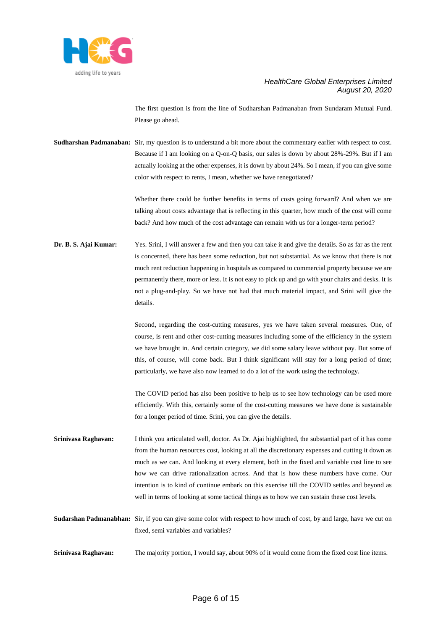

The first question is from the line of Sudharshan Padmanaban from Sundaram Mutual Fund. Please go ahead.

**Sudharshan Padmanaban:** Sir, my question is to understand a bit more about the commentary earlier with respect to cost. Because if I am looking on a Q-on-Q basis, our sales is down by about 28%-29%. But if I am actually looking at the other expenses, it is down by about 24%. So I mean, if you can give some color with respect to rents, I mean, whether we have renegotiated?

> Whether there could be further benefits in terms of costs going forward? And when we are talking about costs advantage that is reflecting in this quarter, how much of the cost will come back? And how much of the cost advantage can remain with us for a longer-term period?

**Dr. B. S. Ajai Kumar:** Yes. Srini, I will answer a few and then you can take it and give the details. So as far as the rent is concerned, there has been some reduction, but not substantial. As we know that there is not much rent reduction happening in hospitals as compared to commercial property because we are permanently there, more or less. It is not easy to pick up and go with your chairs and desks. It is not a plug-and-play. So we have not had that much material impact, and Srini will give the details.

> Second, regarding the cost-cutting measures, yes we have taken several measures. One, of course, is rent and other cost-cutting measures including some of the efficiency in the system we have brought in. And certain category, we did some salary leave without pay. But some of this, of course, will come back. But I think significant will stay for a long period of time; particularly, we have also now learned to do a lot of the work using the technology.

> The COVID period has also been positive to help us to see how technology can be used more efficiently. With this, certainly some of the cost-cutting measures we have done is sustainable for a longer period of time. Srini, you can give the details.

- **Srinivasa Raghavan:** I think you articulated well, doctor. As Dr. Ajai highlighted, the substantial part of it has come from the human resources cost, looking at all the discretionary expenses and cutting it down as much as we can. And looking at every element, both in the fixed and variable cost line to see how we can drive rationalization across. And that is how these numbers have come. Our intention is to kind of continue embark on this exercise till the COVID settles and beyond as well in terms of looking at some tactical things as to how we can sustain these cost levels.
- **Sudarshan Padmanabhan:** Sir, if you can give some color with respect to how much of cost, by and large, have we cut on fixed, semi variables and variables?
- **Srinivasa Raghavan:** The majority portion, I would say, about 90% of it would come from the fixed cost line items.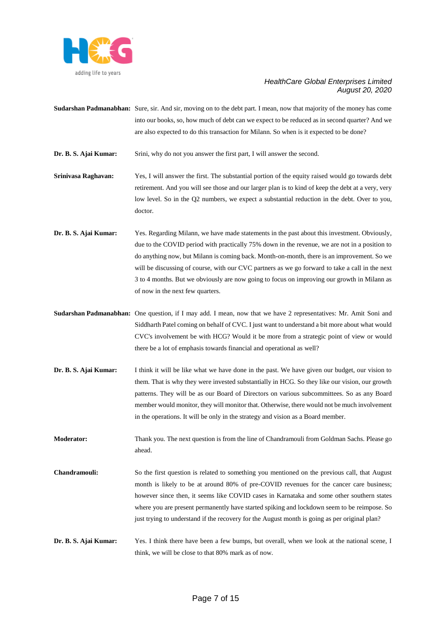

**Sudarshan Padmanabhan:** Sure, sir. And sir, moving on to the debt part. I mean, now that majority of the money has come into our books, so, how much of debt can we expect to be reduced as in second quarter? And we are also expected to do this transaction for Milann. So when is it expected to be done?

**Dr. B. S. Ajai Kumar:** Srini, why do not you answer the first part, I will answer the second.

- **Srinivasa Raghavan:** Yes, I will answer the first. The substantial portion of the equity raised would go towards debt retirement. And you will see those and our larger plan is to kind of keep the debt at a very, very low level. So in the Q2 numbers, we expect a substantial reduction in the debt. Over to you, doctor.
- **Dr. B. S. Ajai Kumar:** Yes. Regarding Milann, we have made statements in the past about this investment. Obviously, due to the COVID period with practically 75% down in the revenue, we are not in a position to do anything now, but Milann is coming back. Month-on-month, there is an improvement. So we will be discussing of course, with our CVC partners as we go forward to take a call in the next 3 to 4 months. But we obviously are now going to focus on improving our growth in Milann as of now in the next few quarters.
- **Sudarshan Padmanabhan:** One question, if I may add. I mean, now that we have 2 representatives: Mr. Amit Soni and Siddharth Patel coming on behalf of CVC. I just want to understand a bit more about what would CVC's involvement be with HCG? Would it be more from a strategic point of view or would there be a lot of emphasis towards financial and operational as well?
- **Dr. B. S. Ajai Kumar:** I think it will be like what we have done in the past. We have given our budget, our vision to them. That is why they were invested substantially in HCG. So they like our vision, our growth patterns. They will be as our Board of Directors on various subcommittees. So as any Board member would monitor, they will monitor that. Otherwise, there would not be much involvement in the operations. It will be only in the strategy and vision as a Board member.

**Moderator:** Thank you. The next question is from the line of Chandramouli from Goldman Sachs. Please go ahead.

- **Chandramouli:** So the first question is related to something you mentioned on the previous call, that August month is likely to be at around 80% of pre-COVID revenues for the cancer care business; however since then, it seems like COVID cases in Karnataka and some other southern states where you are present permanently have started spiking and lockdown seem to be reimpose. So just trying to understand if the recovery for the August month is going as per original plan?
- **Dr. B. S. Ajai Kumar:** Yes. I think there have been a few bumps, but overall, when we look at the national scene, I think, we will be close to that 80% mark as of now.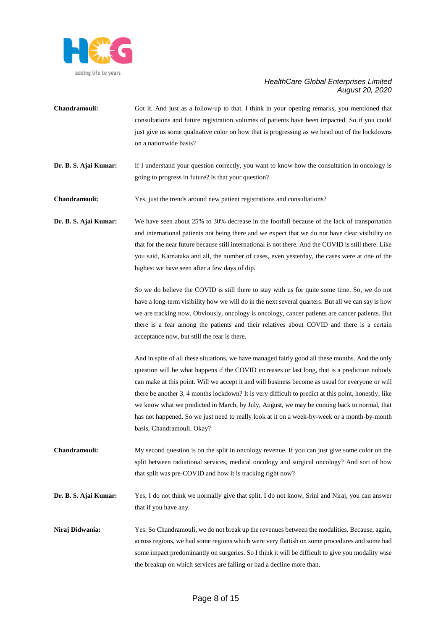

- **Chandramouli:** Got it. And just as a follow-up to that. I think in your opening remarks, you mentioned that consultations and future registration volumes of patients have been impacted. So if you could just give us some qualitative color on how that is progressing as we head out of the lockdowns on a nationwide basis?
- **Dr. B. S. Ajai Kumar:** If I understand your question correctly, you want to know how the consultation in oncology is going to progress in future? Is that your question?

**Chandramouli:** Yes, just the trends around new patient registrations and consultations?

**Dr. B. S. Ajai Kumar:** We have seen about 25% to 30% decrease in the footfall because of the lack of transportation and international patients not being there and we expect that we do not have clear visibility on that for the near future because still international is not there. And the COVID is still there. Like you said, Karnataka and all, the number of cases, even yesterday, the cases were at one of the highest we have seen after a few days of dip.

> So we do believe the COVID is still there to stay with us for quite some time. So, we do not have a long-term visibility how we will do in the next several quarters. But all we can say is how we are tracking now. Obviously, oncology is oncology, cancer patients are cancer patients. But there is a fear among the patients and their relatives about COVID and there is a certain acceptance now, but still the fear is there.

> And in spite of all these situations, we have managed fairly good all these months. And the only question will be what happens if the COVID increases or last long, that is a prediction nobody can make at this point. Will we accept it and will business become as usual for everyone or will there be another 3, 4 months lockdown? It is very difficult to predict at this point, honestly, like we know what we predicted in March, by July, August, we may be coming back to normal, that has not happened. So we just need to really look at it on a week-by-week or a month-by-month basis, Chandramouli. Okay?

- **Chandramouli:** My second question is on the split in oncology revenue. If you can just give some color on the split between radiational services, medical oncology and surgical oncology? And sort of how that split was pre-COVID and how it is tracking right now?
- **Dr. B. S. Ajai Kumar:** Yes, I do not think we normally give that split. I do not know, Srini and Niraj, you can answer that if you have any.
- **Niraj Didwania:** Yes. So Chandramouli, we do not break up the revenues between the modalities. Because, again, across regions, we had some regions which were very flattish on some procedures and some had some impact predominantly on surgeries. So I think it will be difficult to give you modality wise the breakup on which services are falling or had a decline more than.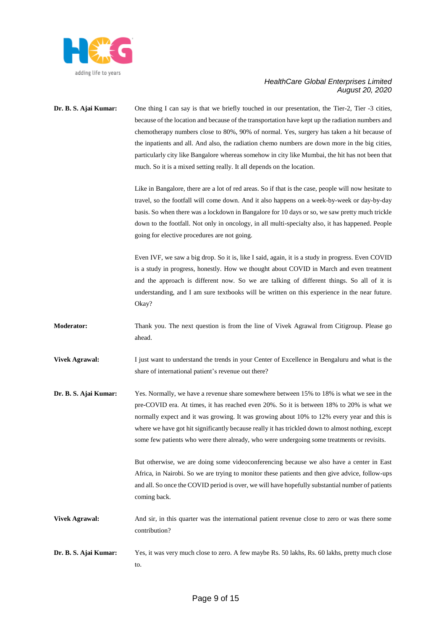

# **Dr. B. S. Ajai Kumar:** One thing I can say is that we briefly touched in our presentation, the Tier-2, Tier -3 cities, because of the location and because of the transportation have kept up the radiation numbers and chemotherapy numbers close to 80%, 90% of normal. Yes, surgery has taken a hit because of the inpatients and all. And also, the radiation chemo numbers are down more in the big cities, particularly city like Bangalore whereas somehow in city like Mumbai, the hit has not been that much. So it is a mixed setting really. It all depends on the location.

Like in Bangalore, there are a lot of red areas. So if that is the case, people will now hesitate to travel, so the footfall will come down. And it also happens on a week-by-week or day-by-day basis. So when there was a lockdown in Bangalore for 10 days or so, we saw pretty much trickle down to the footfall. Not only in oncology, in all multi-specialty also, it has happened. People going for elective procedures are not going.

Even IVF, we saw a big drop. So it is, like I said, again, it is a study in progress. Even COVID is a study in progress, honestly. How we thought about COVID in March and even treatment and the approach is different now. So we are talking of different things. So all of it is understanding, and I am sure textbooks will be written on this experience in the near future. Okay?

- **Moderator:** Thank you. The next question is from the line of Vivek Agrawal from Citigroup. Please go ahead.
- **Vivek Agrawal:** I just want to understand the trends in your Center of Excellence in Bengaluru and what is the share of international patient's revenue out there?
- **Dr. B. S. Ajai Kumar:** Yes. Normally, we have a revenue share somewhere between 15% to 18% is what we see in the pre-COVID era. At times, it has reached even 20%. So it is between 18% to 20% is what we normally expect and it was growing. It was growing about 10% to 12% every year and this is where we have got hit significantly because really it has trickled down to almost nothing, except some few patients who were there already, who were undergoing some treatments or revisits.

But otherwise, we are doing some videoconferencing because we also have a center in East Africa, in Nairobi. So we are trying to monitor these patients and then give advice, follow-ups and all. So once the COVID period is over, we will have hopefully substantial number of patients coming back.

- **Vivek Agrawal:** And sir, in this quarter was the international patient revenue close to zero or was there some contribution?
- **Dr. B. S. Ajai Kumar:** Yes, it was very much close to zero. A few maybe Rs. 50 lakhs, Rs. 60 lakhs, pretty much close to.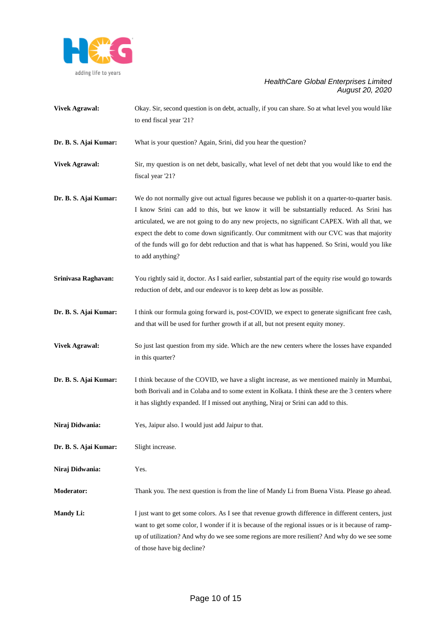

- **Vivek Agrawal:** Okay. Sir, second question is on debt, actually, if you can share. So at what level you would like to end fiscal year '21?
- **Dr. B. S. Ajai Kumar:** What is your question? Again, Srini, did you hear the question?
- **Vivek Agrawal:** Sir, my question is on net debt, basically, what level of net debt that you would like to end the fiscal year '21?
- **Dr. B. S. Ajai Kumar:** We do not normally give out actual figures because we publish it on a quarter-to-quarter basis. I know Srini can add to this, but we know it will be substantially reduced. As Srini has articulated, we are not going to do any new projects, no significant CAPEX. With all that, we expect the debt to come down significantly. Our commitment with our CVC was that majority of the funds will go for debt reduction and that is what has happened. So Srini, would you like to add anything?
- **Srinivasa Raghavan:** You rightly said it, doctor. As I said earlier, substantial part of the equity rise would go towards reduction of debt, and our endeavor is to keep debt as low as possible.
- **Dr. B. S. Ajai Kumar:** I think our formula going forward is, post-COVID, we expect to generate significant free cash, and that will be used for further growth if at all, but not present equity money.
- **Vivek Agrawal:** So just last question from my side. Which are the new centers where the losses have expanded in this quarter?
- **Dr. B. S. Ajai Kumar:** I think because of the COVID, we have a slight increase, as we mentioned mainly in Mumbai, both Borivali and in Colaba and to some extent in Kolkata. I think these are the 3 centers where it has slightly expanded. If I missed out anything, Niraj or Srini can add to this.
- **Niraj Didwania:** Yes, Jaipur also. I would just add Jaipur to that.
- **Dr. B. S. Ajai Kumar:** Slight increase.
- **Niraj Didwania:** Yes.
- **Moderator:** Thank you. The next question is from the line of Mandy Li from Buena Vista. Please go ahead.
- **Mandy Li:** I just want to get some colors. As I see that revenue growth difference in different centers, just want to get some color, I wonder if it is because of the regional issues or is it because of rampup of utilization? And why do we see some regions are more resilient? And why do we see some of those have big decline?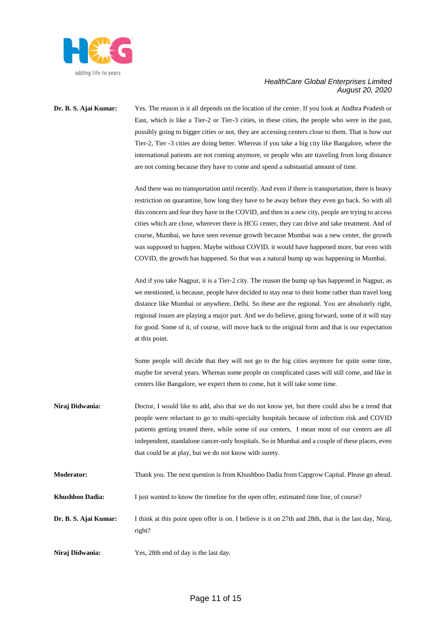

**Dr. B. S. Ajai Kumar:** Yes. The reason is it all depends on the location of the center. If you look at Andhra Pradesh or East, which is like a Tier-2 or Tier-3 cities, in these cities, the people who were in the past, possibly going to bigger cities or not, they are accessing centers close to them. That is how our Tier-2, Tier -3 cities are doing better. Whereas if you take a big city like Bangalore, where the international patients are not coming anymore, or people who are traveling from long distance are not coming because they have to come and spend a substantial amount of time.

> And there was no transportation until recently. And even if there is transportation, there is heavy restriction on quarantine, how long they have to be away before they even go back. So with all this concern and fear they have in the COVID, and then in a new city, people are trying to access cities which are close, wherever there is HCG center, they can drive and take treatment. And of course, Mumbai, we have seen revenue growth because Mumbai was a new center, the growth was supposed to happen. Maybe without COVID, it would have happened more, but even with COVID, the growth has happened. So that was a natural bump up was happening in Mumbai.

> And if you take Nagpur, it is a Tier-2 city. The reason the bump up has happened in Nagpur, as we mentioned, is because, people have decided to stay near to their home rather than travel long distance like Mumbai or anywhere, Delhi. So these are the regional. You are absolutely right, regional issues are playing a major part. And we do believe, going forward, some of it will stay for good. Some of it, of course, will move back to the original form and that is our expectation at this point.

> Some people will decide that they will not go to the big cities anymore for quite some time, maybe for several years. Whereas some people on complicated cases will still come, and like in centers like Bangalore, we expect them to come, but it will take some time.

- **Niraj Didwania:** Doctor, I would like to add, also that we do not know yet, but there could also be a trend that people were reluctant to go to multi-specialty hospitals because of infection risk and COVID patients getting treated there, while some of our centers, I mean most of our centers are all independent, standalone cancer-only hospitals. So in Mumbai and a couple of these places, even that could be at play, but we do not know with surety.
- **Moderator:** Thank you. The next question is from Khushboo Dadia from Capgrow Capital. Please go ahead.
- **Khushboo Dadia:** I just wanted to know the timeline for the open offer, estimated time line, of course?

**Dr. B. S. Ajai Kumar:** I think at this point open offer is on. I believe is it on 27th and 28th, that is the last day, Niraj, right?

**Niraj Didwania:** Yes, 28th end of day is the last day.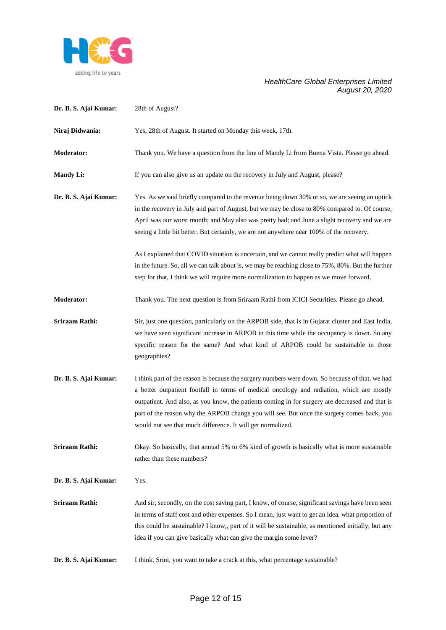

| Dr. B. S. Ajai Kumar: | 28th of August?                                                                                                                                                                                                                                                                                                                                                                                                                                              |
|-----------------------|--------------------------------------------------------------------------------------------------------------------------------------------------------------------------------------------------------------------------------------------------------------------------------------------------------------------------------------------------------------------------------------------------------------------------------------------------------------|
| Niraj Didwania:       | Yes, 28th of August. It started on Monday this week, 17th.                                                                                                                                                                                                                                                                                                                                                                                                   |
| <b>Moderator:</b>     | Thank you. We have a question from the line of Mandy Li from Buena Vista. Please go ahead.                                                                                                                                                                                                                                                                                                                                                                   |
| <b>Mandy Li:</b>      | If you can also give us an update on the recovery in July and August, please?                                                                                                                                                                                                                                                                                                                                                                                |
| Dr. B. S. Ajai Kumar: | Yes. As we said briefly compared to the revenue being down 30% or so, we are seeing an uptick<br>in the recovery in July and part of August, but we may be close to 80% compared to. Of course,<br>April was our worst month; and May also was pretty bad; and June a slight recovery and we are<br>seeing a little bit better. But certainly, we are not anywhere near 100% of the recovery.                                                                |
|                       | As I explained that COVID situation is uncertain, and we cannot really predict what will happen<br>in the future. So, all we can talk about is, we may be reaching close to 75%, 80%. But the further<br>step for that, I think we will require more normalization to happen as we move forward.                                                                                                                                                             |
| <b>Moderator:</b>     | Thank you. The next question is from Sriraam Rathi from ICICI Securities. Please go ahead.                                                                                                                                                                                                                                                                                                                                                                   |
| Sriraam Rathi:        | Sir, just one question, particularly on the ARPOB side, that is in Gujarat cluster and East India,<br>we have seen significant increase in ARPOB in this time while the occupancy is down. So any<br>specific reason for the same? And what kind of ARPOB could be sustainable in those<br>geographies?                                                                                                                                                      |
| Dr. B. S. Ajai Kumar: | I think part of the reason is because the surgery numbers were down. So because of that, we had<br>a better outpatient footfall in terms of medical oncology and radiation, which are mostly<br>outpatient. And also, as you know, the patients coming in for surgery are decreased and that is<br>part of the reason why the ARPOB change you will see. But once the surgery comes back, you<br>would not see that much difference. It will get normalized. |
| Sriraam Rathi:        | Okay. So basically, that annual 5% to 6% kind of growth is basically what is more sustainable<br>rather than these numbers?                                                                                                                                                                                                                                                                                                                                  |
| Dr. B. S. Ajai Kumar: | Yes.                                                                                                                                                                                                                                                                                                                                                                                                                                                         |
| <b>Sriraam Rathi:</b> | And sir, secondly, on the cost saving part, I know, of course, significant savings have been seen<br>in terms of staff cost and other expenses. So I mean, just want to get an idea, what proportion of<br>this could be sustainable? I know,, part of it will be sustainable, as mentioned initially, but any<br>idea if you can give basically what can give the margin some lever?                                                                        |
| Dr. B. S. Ajai Kumar: | I think, Srini, you want to take a crack at this, what percentage sustainable?                                                                                                                                                                                                                                                                                                                                                                               |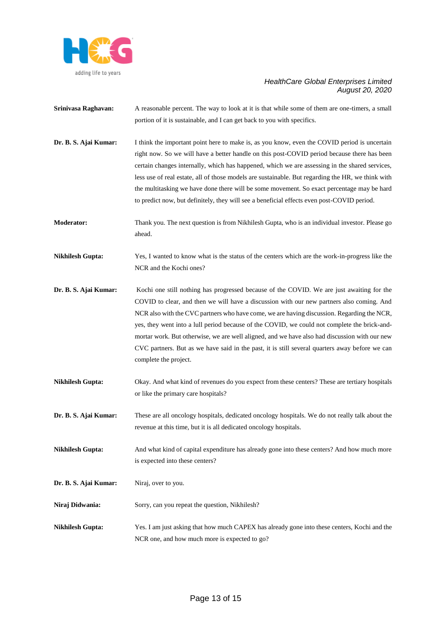

- **Srinivasa Raghavan:** A reasonable percent. The way to look at it is that while some of them are one-timers, a small portion of it is sustainable, and I can get back to you with specifics.
- **Dr. B. S. Ajai Kumar:** I think the important point here to make is, as you know, even the COVID period is uncertain right now. So we will have a better handle on this post-COVID period because there has been certain changes internally, which has happened, which we are assessing in the shared services, less use of real estate, all of those models are sustainable. But regarding the HR, we think with the multitasking we have done there will be some movement. So exact percentage may be hard to predict now, but definitely, they will see a beneficial effects even post-COVID period.
- **Moderator:** Thank you. The next question is from Nikhilesh Gupta, who is an individual investor. Please go ahead.
- **Nikhilesh Gupta:** Yes, I wanted to know what is the status of the centers which are the work-in-progress like the NCR and the Kochi ones?
- **Dr. B. S. Ajai Kumar:** Kochi one still nothing has progressed because of the COVID. We are just awaiting for the COVID to clear, and then we will have a discussion with our new partners also coming. And NCR also with the CVC partners who have come, we are having discussion. Regarding the NCR, yes, they went into a lull period because of the COVID, we could not complete the brick-andmortar work. But otherwise, we are well aligned, and we have also had discussion with our new CVC partners. But as we have said in the past, it is still several quarters away before we can complete the project.
- **Nikhilesh Gupta:** Okay. And what kind of revenues do you expect from these centers? These are tertiary hospitals or like the primary care hospitals?
- **Dr. B. S. Ajai Kumar:** These are all oncology hospitals, dedicated oncology hospitals. We do not really talk about the revenue at this time, but it is all dedicated oncology hospitals.
- **Nikhilesh Gupta:** And what kind of capital expenditure has already gone into these centers? And how much more is expected into these centers?
- Dr. B. S. Ajai Kumar: Niraj, over to you.
- Niraj Didwania: Sorry, can you repeat the question, Nikhilesh?
- **Nikhilesh Gupta:** Yes. I am just asking that how much CAPEX has already gone into these centers, Kochi and the NCR one, and how much more is expected to go?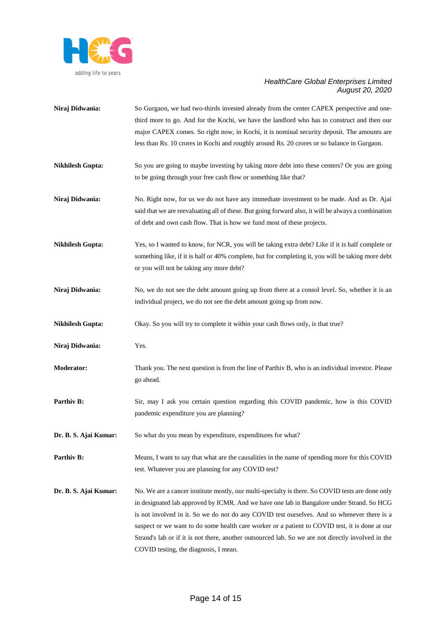

| Niraj Didwania:         | So Gurgaon, we had two-thirds invested already from the center CAPEX perspective and one-<br>third more to go. And for the Kochi, we have the landlord who has to construct and then our<br>major CAPEX comes. So right now, in Kochi, it is nominal security deposit. The amounts are<br>less than Rs. 10 crores in Kochi and roughly around Rs. 20 crores or so balance in Gurgaon.                                                                                                                                                         |
|-------------------------|-----------------------------------------------------------------------------------------------------------------------------------------------------------------------------------------------------------------------------------------------------------------------------------------------------------------------------------------------------------------------------------------------------------------------------------------------------------------------------------------------------------------------------------------------|
| <b>Nikhilesh Gupta:</b> | So you are going to maybe investing by taking more debt into these centers? Or you are going<br>to be going through your free cash flow or something like that?                                                                                                                                                                                                                                                                                                                                                                               |
| Niraj Didwania:         | No. Right now, for us we do not have any immediate investment to be made. And as Dr. Ajai<br>said that we are reevaluating all of these. But going forward also, it will be always a combination<br>of debt and own cash flow. That is how we fund most of these projects.                                                                                                                                                                                                                                                                    |
| <b>Nikhilesh Gupta:</b> | Yes, so I wanted to know, for NCR, you will be taking extra debt? Like if it is half complete or<br>something like, if it is half or 40% complete, but for completing it, you will be taking more debt<br>or you will not be taking any more debt?                                                                                                                                                                                                                                                                                            |
| Niraj Didwania:         | No, we do not see the debt amount going up from there at a consol level. So, whether it is an<br>individual project, we do not see the debt amount going up from now.                                                                                                                                                                                                                                                                                                                                                                         |
| <b>Nikhilesh Gupta:</b> | Okay. So you will try to complete it within your cash flows only, is that true?                                                                                                                                                                                                                                                                                                                                                                                                                                                               |
| Niraj Didwania:         | Yes.                                                                                                                                                                                                                                                                                                                                                                                                                                                                                                                                          |
| <b>Moderator:</b>       | Thank you. The next question is from the line of Parthiv B, who is an individual investor. Please<br>go ahead.                                                                                                                                                                                                                                                                                                                                                                                                                                |
| Parthiv B:              | Sir, may I ask you certain question regarding this COVID pandemic, how is this COVID<br>pandemic expenditure you are planning?                                                                                                                                                                                                                                                                                                                                                                                                                |
| Dr. B. S. Ajai Kumar:   | So what do you mean by expenditure, expenditures for what?                                                                                                                                                                                                                                                                                                                                                                                                                                                                                    |
| Parthiv B:              | Means, I want to say that what are the causalities in the name of spending more for this COVID<br>test. Whatever you are planning for any COVID test?                                                                                                                                                                                                                                                                                                                                                                                         |
| Dr. B. S. Ajai Kumar:   | No. We are a cancer institute mostly, our multi-specialty is there. So COVID tests are done only<br>in designated lab approved by ICMR. And we have one lab in Bangalore under Strand. So HCG<br>is not involved in it. So we do not do any COVID test ourselves. And so whenever there is a<br>suspect or we want to do some health care worker or a patient to COVID test, it is done at our<br>Strand's lab or if it is not there, another outsourced lab. So we are not directly involved in the<br>COVID testing, the diagnosis, I mean. |